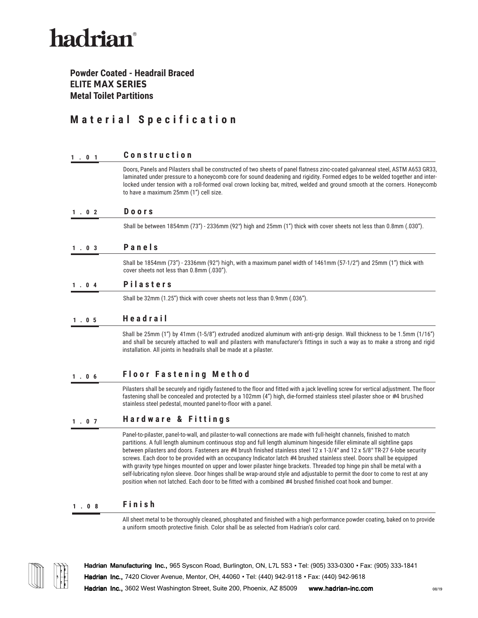# hadrian®

#### **Powder Coated - Headrail Braced ELITE MAX SERIES Metal Toilet Partitions**

## **M a t e r i a l S p e c i f i c a t i o n**

| 1.01 | Construction                                                                                                                                                                                                                                                                                                                                                                                                                                                                                                                                                                                                                                                                                                                                                                   |
|------|--------------------------------------------------------------------------------------------------------------------------------------------------------------------------------------------------------------------------------------------------------------------------------------------------------------------------------------------------------------------------------------------------------------------------------------------------------------------------------------------------------------------------------------------------------------------------------------------------------------------------------------------------------------------------------------------------------------------------------------------------------------------------------|
|      | Doors, Panels and Pilasters shall be constructed of two sheets of panel flatness zinc-coated galvanneal steel, ASTM A653 GR33,<br>laminated under pressure to a honeycomb core for sound deadening and rigidity. Formed edges to be welded together and inter-<br>locked under tension with a roll-formed oval crown locking bar, mitred, welded and ground smooth at the corners. Honeycomb<br>to have a maximum 25mm (1") cell size.                                                                                                                                                                                                                                                                                                                                         |
| 1.02 | <b>Doors</b>                                                                                                                                                                                                                                                                                                                                                                                                                                                                                                                                                                                                                                                                                                                                                                   |
|      | Shall be between 1854mm (73") - 2336mm (92") high and 25mm (1") thick with cover sheets not less than 0.8mm (.030").                                                                                                                                                                                                                                                                                                                                                                                                                                                                                                                                                                                                                                                           |
| 1.03 | Panels                                                                                                                                                                                                                                                                                                                                                                                                                                                                                                                                                                                                                                                                                                                                                                         |
|      | Shall be 1854mm (73") - 2336mm (92") high, with a maximum panel width of 1461mm (57-1/2") and 25mm (1") thick with<br>cover sheets not less than 0.8mm (.030").                                                                                                                                                                                                                                                                                                                                                                                                                                                                                                                                                                                                                |
| 1.04 | <b>Pilasters</b>                                                                                                                                                                                                                                                                                                                                                                                                                                                                                                                                                                                                                                                                                                                                                               |
|      | Shall be 32mm (1.25") thick with cover sheets not less than 0.9mm (.036").                                                                                                                                                                                                                                                                                                                                                                                                                                                                                                                                                                                                                                                                                                     |
| 1.05 | Headrail                                                                                                                                                                                                                                                                                                                                                                                                                                                                                                                                                                                                                                                                                                                                                                       |
|      | Shall be 25mm (1") by 41mm (1-5/8") extruded anodized aluminum with anti-grip design. Wall thickness to be 1.5mm (1/16")<br>and shall be securely attached to wall and pilasters with manufacturer's fittings in such a way as to make a strong and rigid<br>installation. All joints in headrails shall be made at a pilaster.                                                                                                                                                                                                                                                                                                                                                                                                                                                |
| 1.06 | <b>Floor Fastening Method</b>                                                                                                                                                                                                                                                                                                                                                                                                                                                                                                                                                                                                                                                                                                                                                  |
|      | Pilasters shall be securely and rigidly fastened to the floor and fitted with a jack levelling screw for vertical adjustment. The floor<br>fastening shall be concealed and protected by a 102mm (4") high, die-formed stainless steel pilaster shoe or #4 brushed<br>stainless steel pedestal, mounted panel-to-floor with a panel.                                                                                                                                                                                                                                                                                                                                                                                                                                           |
| 1.07 | <b>Hardware &amp; Fittings</b>                                                                                                                                                                                                                                                                                                                                                                                                                                                                                                                                                                                                                                                                                                                                                 |
|      | Panel-to-pilaster, panel-to-wall, and pilaster-to-wall connections are made with full-height channels, finished to match<br>partitions. A full length aluminum continuous stop and full length aluminum hingeside filler eliminate all sightline gaps<br>between pilasters and doors. Fasteners are #4 brush finished stainless steel 12 x 1-3/4" and 12 x 5/8" TR-27 6-lobe security<br>screws. Each door to be provided with an occupancy Indicator latch #4 brushed stainless steel. Doors shall be equipped<br>with gravity type hinges mounted on upper and lower pilaster hinge brackets. Threaded top hinge pin shall be metal with a<br>self-lubricating nylon sleeve. Door hinges shall be wrap-around style and adjustable to permit the door to come to rest at any |

#### **1.08 Finish**

All sheet metal to be thoroughly cleaned, phosphated and finished with a high performance powder coating, baked on to provide a uniform smooth protective finish. Color shall be as selected from Hadrian's color card.



**Hadrian Manufacturing Inc.,** 965 Syscon Road, Burlington, ON, L7L 5S3 • Tel: (905) 333-0300 • Fax: (905) 333-1841 **Hadrian Inc.,** 7420 Clover Avenue, Mentor, OH, 44060 • Tel: (440) 942-9118 • Fax: (440) 942-9618 **Hadrian Inc.,** 3602 West Washington Street, Suite 200, Phoenix, AZ 85009 **www.hadrian-inc.com**

position when not latched. Each door to be fitted with a combined #4 brushed finished coat hook and bumper.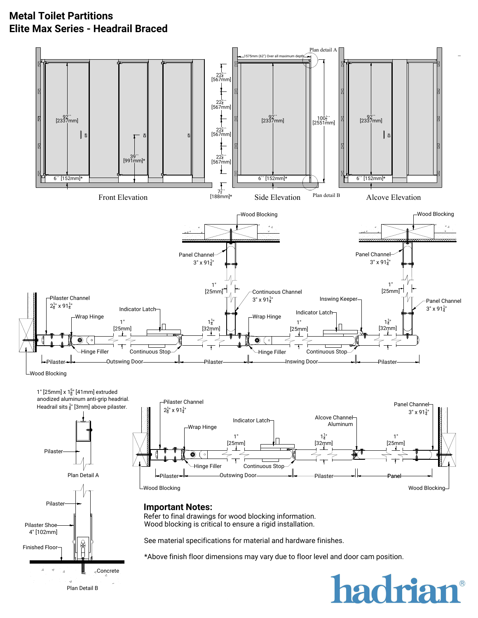### **Metal Toilet Partitions Elite Max Series - Headrail Braced**

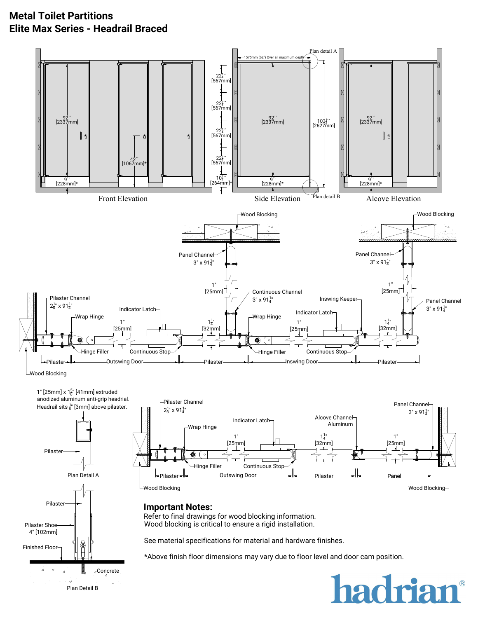### **Metal Toilet Partitions Elite Max Series - Headrail Braced**

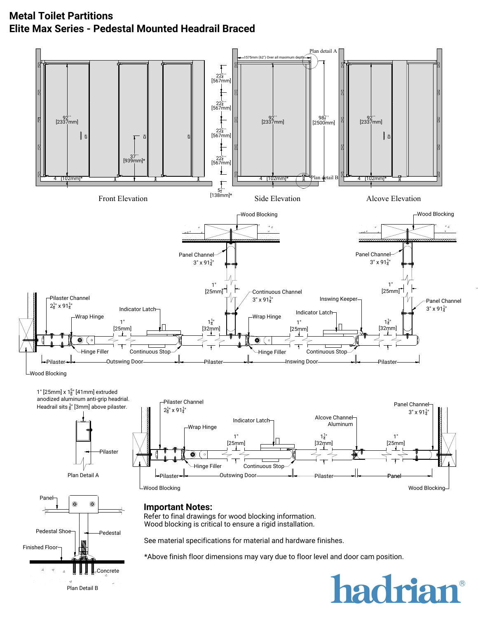#### **Metal Toilet Partitions Elite Max Series - Pedestal Mounted Headrail Braced**

Plan Detail B

 $\frac{1}{\sigma}$  ).

 $\frac{1}{\mathsf{q}} \in$ 

þ